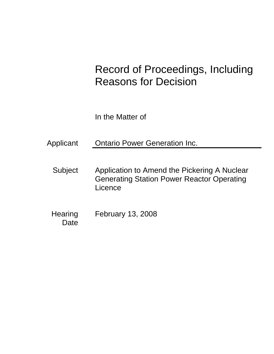# Record of Proceedings, Including Reasons for Decision

In the Matter of

Applicant **Ontario Power Generation Inc.** 

- Subject Application to Amend the Pickering A Nuclear Generating Station Power Reactor Operating Licence
- **Hearing Date** February 13, 2008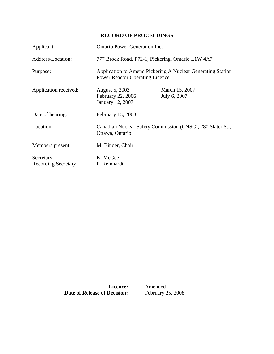# **RECORD OF PROCEEDINGS**

| Applicant:                                | <b>Ontario Power Generation Inc.</b>                                                                  |                                |
|-------------------------------------------|-------------------------------------------------------------------------------------------------------|--------------------------------|
| Address/Location:                         | 777 Brock Road, P72-1, Pickering, Ontario L1W 4A7                                                     |                                |
| Purpose:                                  | Application to Amend Pickering A Nuclear Generating Station<br><b>Power Reactor Operating Licence</b> |                                |
| Application received:                     | August 5, 2003<br>February 22, 2006<br>January 12, 2007                                               | March 15, 2007<br>July 6, 2007 |
| Date of hearing:                          | February 13, 2008                                                                                     |                                |
| Location:                                 | Canadian Nuclear Safety Commission (CNSC), 280 Slater St.,<br>Ottawa, Ontario                         |                                |
| Members present:                          | M. Binder, Chair                                                                                      |                                |
| Secretary:<br><b>Recording Secretary:</b> | K. McGee<br>P. Reinhardt                                                                              |                                |

**Date of Release of Decision:** February 25, 2008

**Licence:** Amended<br>**Decision:** February 25, 2008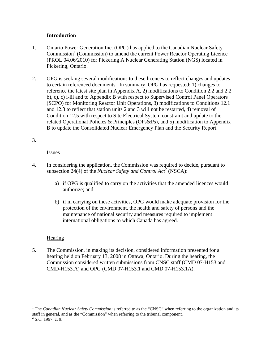# **Introduction**

- 1. Ontario Power Generation Inc. (OPG) has applied to the Canadian Nuclear Safety Commission<sup>1</sup> (Commission) to amend the current Power Reactor Operating Licence (PROL 04.06/2010) for Pickering A Nuclear Generating Station (NGS) located in Pickering, Ontario.
- 2. OPG is seeking several modifications to these licences to reflect changes and updates to certain referenced documents. In summary, OPG has requested: 1) changes to reference the latest site plan in Appendix A, 2) modifications to Condition 2.2 and 2.2 b), c), c) i-iii and to Appendix B with respect to Supervised Control Panel Operators (SCPO) for Monitoring Reactor Unit Operations, 3) modifications to Conditions 12.1 and 12.3 to reflect that station units 2 and 3 will not be restarted, 4) removal of Condition 12.5 with respect to Site Electrical System constraint and update to the related Operational Policies & Principles (OPs&Ps), and 5) modification to Appendix B to update the Consolidated Nuclear Emergency Plan and the Security Report.

# 3.

# Issues

- 4. In considering the application, the Commission was required to decide, pursuant to subsection 24(4) of the *Nuclear Safety and Control Act*<sup>2</sup> (NSCA):
	- a) if OPG is qualified to carry on the activities that the amended licences would authorize; and
	- b) if in carrying on these activities, OPG would make adequate provision for the protection of the environment, the health and safety of persons and the maintenance of national security and measures required to implement international obligations to which Canada has agreed.

# **Hearing**

5. The Commission, in making its decision, considered information presented for a hearing held on February 13, 2008 in Ottawa, Ontario. During the hearing, the Commission considered written submissions from CNSC staff (CMD 07-H153 and CMD-H153.A) and OPG (CMD 07-H153.1 and CMD 07-H153.1A).

 $\overline{a}$ 

<sup>&</sup>lt;sup>1</sup> The *Canadian Nuclear Safety Commission* is referred to as the "CNSC" when referring to the organization and its staff in general, and as the "Commission" when referring to the tribunal component.

 $2^2$  S.C. 1997, c. 9.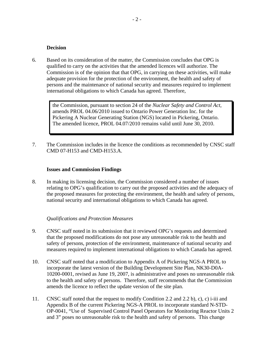#### **Decision**

6. Based on its consideration of the matter, the Commission concludes that OPG is qualified to carry on the activities that the amended licences will authorize. The Commission is of the opinion that that OPG, in carrying on these activities, will make adequate provision for the protection of the environment, the health and safety of persons and the maintenance of national security and measures required to implement international obligations to which Canada has agreed. Therefore,

> the Commission, pursuant to section 24 of the *Nuclear Safety and Control Act*, amends PROL 04.06/2010 issued to Ontario Power Generation Inc. for the Pickering A Nuclear Generating Station (NGS) located in Pickering, Ontario. The amended licence, PROL 04.07/2010 remains valid until June 30, 2010.

7. The Commission includes in the licence the conditions as recommended by CNSC staff CMD 07-H153 and CMD-H153.A.

#### **Issues and Commission Findings**

8. In making its licensing decision, the Commission considered a number of issues relating to OPG's qualification to carry out the proposed activities and the adequacy of the proposed measures for protecting the environment, the health and safety of persons, national security and international obligations to which Canada has agreed.

#### *Qualifications and Protection Measures*

- 9. CNSC staff noted in its submission that it reviewed OPG's requests and determined that the proposed modifications do not pose any unreasonable risk to the health and safety of persons, protection of the environment, maintenance of national security and measures required to implement international obligations to which Canada has agreed.
- 10. CNSC staff noted that a modification to Appendix A of Pickering NGS-A PROL to incorporate the latest version of the Building Development Site Plan, NK30-D0A-10200-0001, revised as June 19, 2007, is administrative and poses no unreasonable risk to the health and safety of persons. Therefore, staff recommends that the Commission amends the licence to reflect the update version of the site plan.
- 11. CNSC staff noted that the request to modify Condition 2.2 and 2.2 b), c), c) i-iii and Appendix B of the current Pickering NGS-A PROL to incorporate standard N-STD-OP-0041, "Use of Supervised Control Panel Operators for Monitoring Reactor Units 2 and 3" poses no unreasonable risk to the health and safety of persons. This change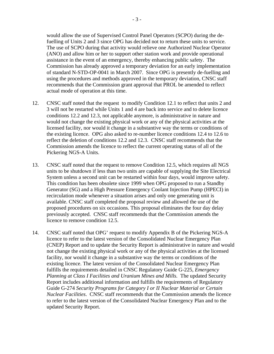would allow the use of Supervised Control Panel Operators (SCPO) during the defuelling of Units 2 and 3 since OPG has decided not to return these units to service. The use of SCPO during that activity would relieve one Authorized Nuclear Operator (ANO) and allow him or her to support other station work and provide operational assistance in the event of an emergency, thereby enhancing public safety. The Commission has already approved a temporary deviation for an early implementation of standard N-STD-OP-0041 in March 2007. Since OPG is presently de-fuelling and using the procedures and methods approved in the temporary deviation, CNSC staff recommends that the Commission grant approval that PROL be amended to reflect actual mode of operation at this time.

- 12. CNSC staff noted that the request to modify Condition 12.1 to reflect that units 2 and 3 will not be restarted while Units 1 and 4 are back into service and to delete licence conditions 12.2 and 12.3, not applicable anymore, is administrative in nature and would not change the existing physical work or any of the physical activities at the licensed facility, nor would it change in a substantive way the terms or conditions of the existing licence. OPG also asked to re-number licence conditions 12.4 to 12.6 to reflect the deletion of conditions 12.2 and 12.3. CNSC staff recommends that the Commission amends the licence to reflect the current operating status of all of the Pickering NGS-A Units.
- 13. CNSC staff noted that the request to remove Condition 12.5, which requires all NGS units to be shutdown if less than two units are capable of supplying the Site Electrical System unless a second unit can be restarted within four days, would improve safety. This condition has been obsolete since 1999 when OPG proposed to run a Standby Generator (SG) and a High Pressure Emergency Coolant Injection Pump (HPECI) in recirculation mode whenever a situation arises and only one generating unit is available. CNSC staff completed the proposal review and allowed the use of the proposed procedures on six occasions. This proposal eliminates the four day delay previously accepted. CNSC staff recommends that the Commission amends the licence to remove condition 12.5.
- 14. CNSC staff noted that OPG' request to modify Appendix B of the Pickering NGS-A licence to refer to the latest version of the Consolidated Nuclear Emergency Plan (CNEP) Report and to update the Security Report is administrative in nature and would not change the existing physical work or any of the physical activities at the licensed facility, nor would it change in a substantive way the terms or conditions of the existing licence. The latest version of the Consolidated Nuclear Emergency Plan fulfills the requirements detailed in CNSC Regulatory Guide G-225, *Emergency Planning at Class I Facilities and Uranium Mines and Mills.* The updated Security Report includes additional information and fulfills the requirements of Regulatory Guide G-274 *Security Programs for Category I or II Nuclear Material or Certain Nuclear Facilities*. CNSC staff recommends that the Commission amends the licence to refer to the latest version of the Consolidated Nuclear Emergency Plan and to the updated Security Report.